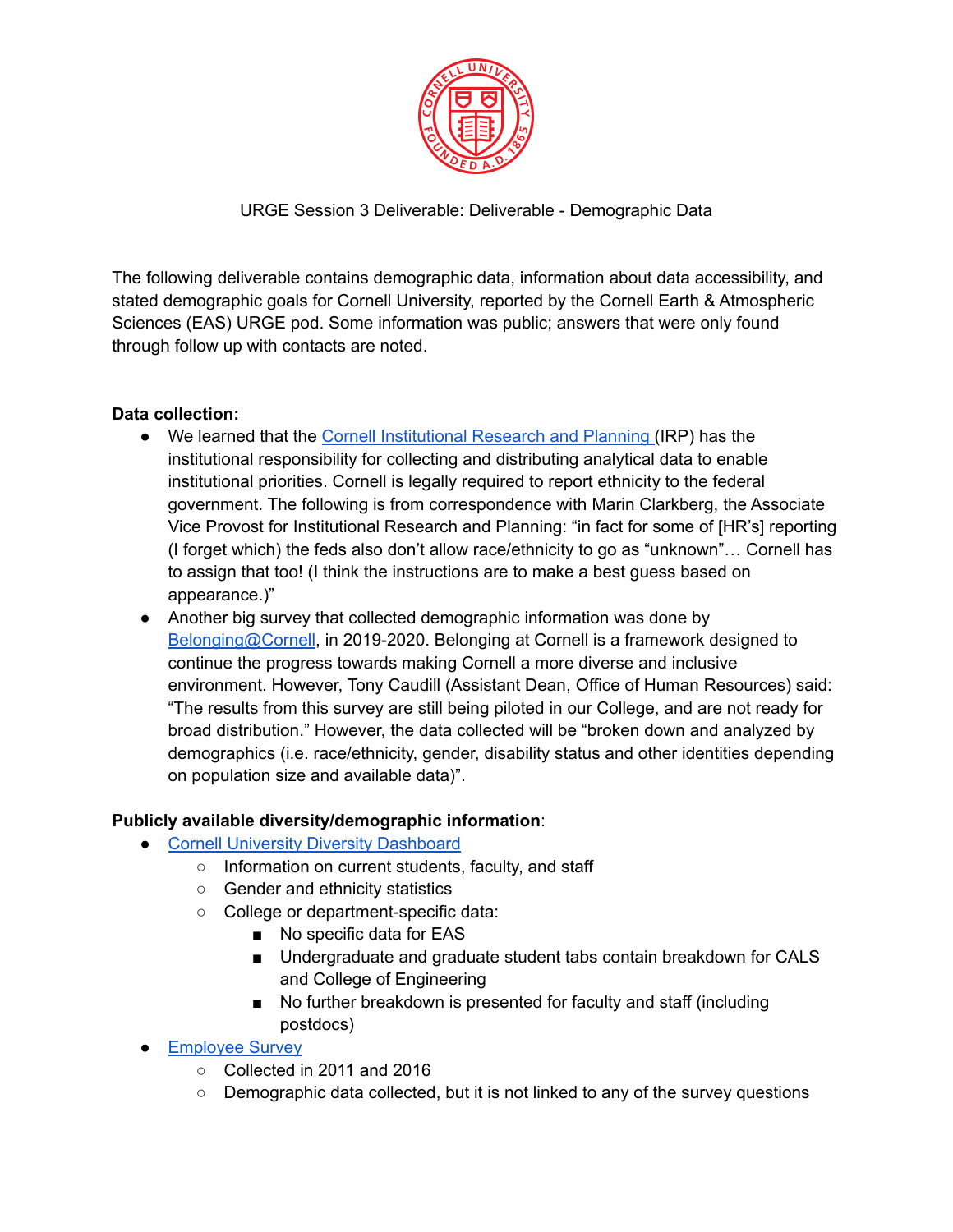

URGE Session 3 Deliverable: Deliverable - Demographic Data

The following deliverable contains demographic data, information about data accessibility, and stated demographic goals for Cornell University, reported by the Cornell Earth & Atmospheric Sciences (EAS) URGE pod. Some information was public; answers that were only found through follow up with contacts are noted.

### **Data collection:**

- We learned that the Cornell [Institutional](https://irp.dpb.cornell.edu/) Research and Planning (IRP) has the institutional responsibility for collecting and distributing analytical data to enable institutional priorities. Cornell is legally required to report ethnicity to the federal government. The following is from correspondence with Marin Clarkberg, the Associate Vice Provost for Institutional Research and Planning: "in fact for some of [HR's] reporting (I forget which) the feds also don't allow race/ethnicity to go as "unknown"… Cornell has to assign that too! (I think the instructions are to make a best guess based on appearance.)"
- Another big survey that collected demographic information was done by [Belonging@Cornell,](https://diversity.cornell.edu/belonging) in 2019-2020. Belonging at Cornell is a framework designed to continue the progress towards making Cornell a more diverse and inclusive environment. However, Tony Caudill (Assistant Dean, Office of Human Resources) said: "The results from this survey are still being piloted in our College, and are not ready for broad distribution." However, the data collected will be "broken down and analyzed by demographics (i.e. race/ethnicity, gender, disability status and other identities depending on population size and available data)".

### **Publicly available diversity/demographic information**:

- Cornell University Diversity [Dashboard](http://irp.dpb.cornell.edu/university-factbook/diversity)
	- Information on current students, faculty, and staff
	- Gender and ethnicity statistics
	- College or department-specific data:
		- No specific data for EAS
		- Undergraduate and graduate student tabs contain breakdown for CALS and College of Engineering
		- No further breakdown is presented for faculty and staff (including postdocs)
- [Employee](https://irp.dpb.cornell.edu/surveys/employee-survey) Survey
	- Collected in 2011 and 2016
	- Demographic data collected, but it is not linked to any of the survey questions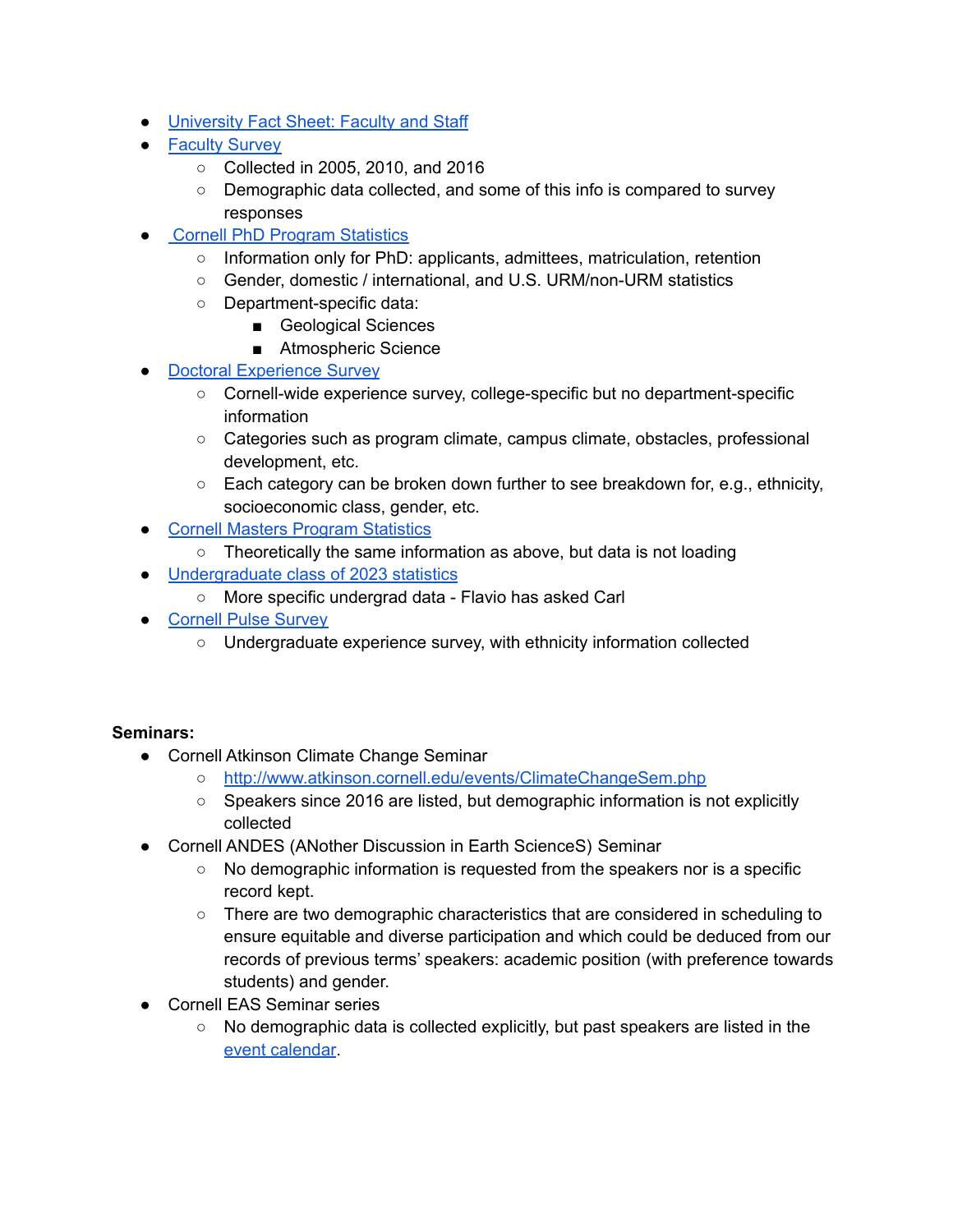- [University](http://irp.dpb.cornell.edu/university-factbook/employees) Fact Sheet: Faculty and Staff
- [Faculty](https://irp.dpb.cornell.edu/surveys/faculty-surveys) Survey
	- Collected in 2005, 2010, and 2016
	- Demographic data collected, and some of this info is compared to survey responses
- **Cornell PhD Program [Statistics](https://tableau.cornell.edu/views/CornellUniversityGraduateSchoolDoctoralProgramStatistics/TheOneDashboard?iframeSizedToWindow=true&:embed=y&:showAppBanner=false&:display_count=no&:showVizHome=no#1)** 
	- Information only for PhD: applicants, admittees, matriculation, retention
	- Gender, domestic / international, and U.S. URM/non-URM statistics
	- Department-specific data:
		- Geological Sciences
		- Atmospheric Science
- Doctoral [Experience](https://gradschool.cornell.edu/about/survey-results/doctoral-experience-survey/) Survey
	- Cornell-wide experience survey, college-specific but no department-specific information
	- Categories such as program climate, campus climate, obstacles, professional development, etc.
	- $\circ$  Each category can be broken down further to see breakdown for, e.g., ethnicity, socioeconomic class, gender, etc.
- Cornell Masters Program [Statistics](https://tableau.cornell.edu/views/CornellUniversityGraduateSchoolMastersProgramStatistics/TheOneDashboard?iframeSizedToWindow=true&:embed=y&:showAppBanner=false&:display_count=n&:origin=viz_share_link&ADMIT_COHORT=Professional%20Masters&FIELD_ID=2)
	- Theoretically the same information as above, but data is not loading
- [Undergraduate](https://admissions.cornell.edu/sites/admissions.cornell.edu/files/ClassProfile%202023b.pdf) class of 2023 statistics
	- More specific undergrad data Flavio has asked Carl
- [Cornell](https://irp.dpb.cornell.edu/surveys/pulse-surveys) Pulse Survey
	- Undergraduate experience survey, with ethnicity information collected

### **Seminars:**

- Cornell Atkinson Climate Change Seminar
	- <http://www.atkinson.cornell.edu/events/ClimateChangeSem.php>
	- Speakers since 2016 are listed, but demographic information is not explicitly collected
- Cornell ANDES (ANother Discussion in Earth ScienceS) Seminar
	- $\circ$  No demographic information is requested from the speakers nor is a specific record kept.
	- There are two demographic characteristics that are considered in scheduling to ensure equitable and diverse participation and which could be deduced from our records of previous terms' speakers: academic position (with preference towards students) and gender.
- Cornell EAS Seminar series
	- No demographic data is collected explicitly, but past speakers are listed in the event [calendar](https://www.eas.cornell.edu/eas/events).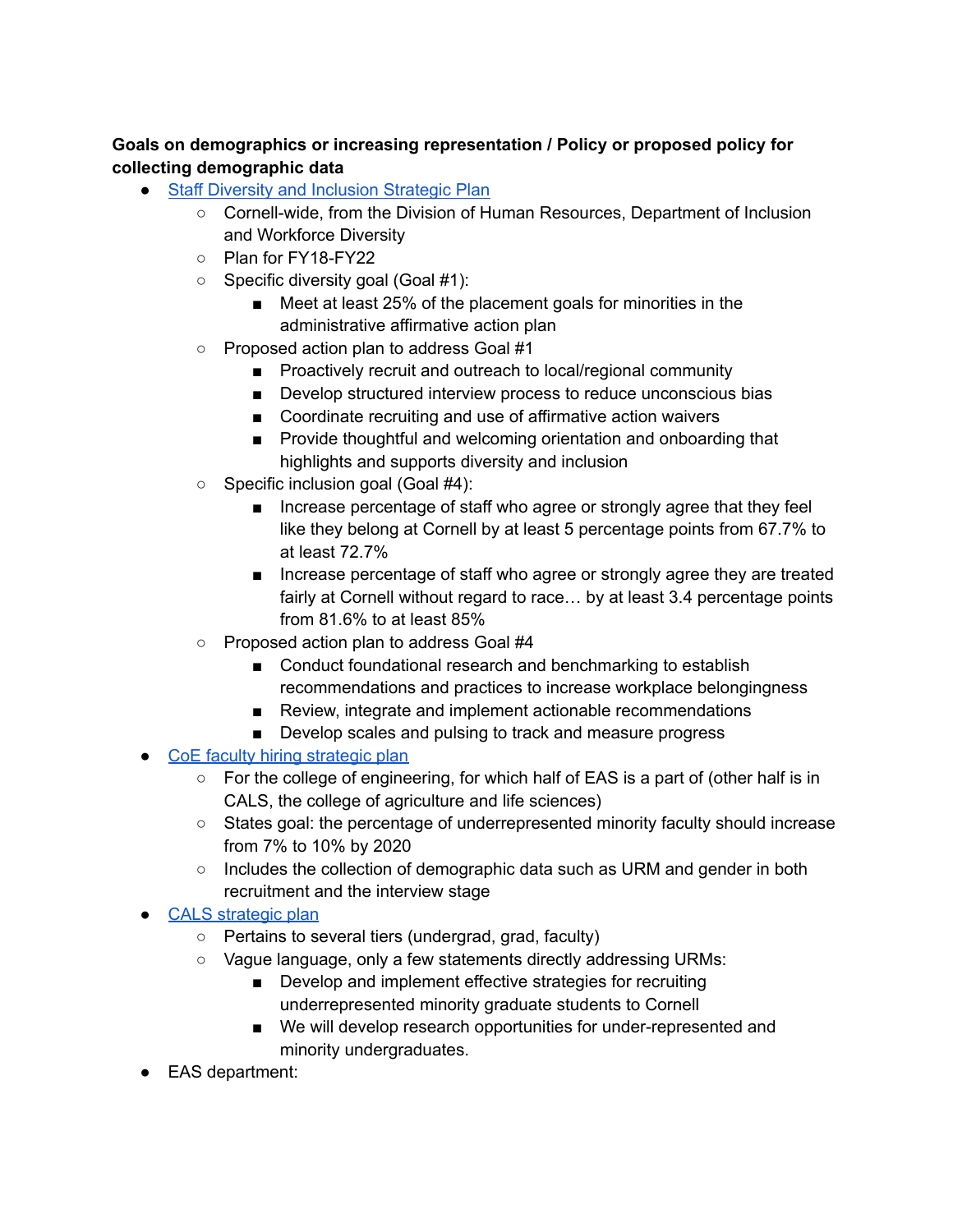# **Goals on demographics or increasing representation / Policy or proposed policy for collecting demographic data**

- Staff Diversity and [Inclusion](https://diversity.cornell.edu/sites/default/files/uploaded-files/Diversity%20Inclusion%20Strategic%20Plan.pdf) Strategic Plan
	- Cornell-wide, from the Division of Human Resources, Department of Inclusion and Workforce Diversity
	- Plan for FY18-FY22
	- Specific diversity goal (Goal #1):
		- Meet at least 25% of the placement goals for minorities in the administrative affirmative action plan
	- Proposed action plan to address Goal #1
		- Proactively recruit and outreach to local/regional community
		- Develop structured interview process to reduce unconscious bias
		- Coordinate recruiting and use of affirmative action waivers
		- Provide thoughtful and welcoming orientation and onboarding that highlights and supports diversity and inclusion
	- Specific inclusion goal (Goal #4):
		- Increase percentage of staff who agree or strongly agree that they feel like they belong at Cornell by at least 5 percentage points from 67.7% to at least 72.7%
		- Increase percentage of staff who agree or strongly agree they are treated fairly at Cornell without regard to race… by at least 3.4 percentage points from 81.6% to at least 85%
	- Proposed action plan to address Goal #4
		- Conduct foundational research and benchmarking to establish recommendations and practices to increase workplace belongingness
		- Review, integrate and implement actionable recommendations
		- Develop scales and pulsing to track and measure progress
- CoE faculty hiring [strategic](https://www.engineering.cornell.edu/research-and-faculty/faculty/resources-faculty/faculty-development/strategic-oversight-committee) plan
	- For the college of engineering, for which half of EAS is a part of (other half is in CALS, the college of agriculture and life sciences)
	- States goal: the percentage of underrepresented minority faculty should increase from 7% to 10% by 2020
	- $\circ$  Includes the collection of demographic data such as URM and gender in both recruitment and the interview stage
- CALS [strategic](https://cals.cornell.edu/sites/default/files/2019-10/strategic-plan-full.pdf) plan
	- Pertains to several tiers (undergrad, grad, faculty)
	- Vague language, only a few statements directly addressing URMs:
		- Develop and implement effective strategies for recruiting underrepresented minority graduate students to Cornell
		- We will develop research opportunities for under-represented and minority undergraduates.
- EAS department: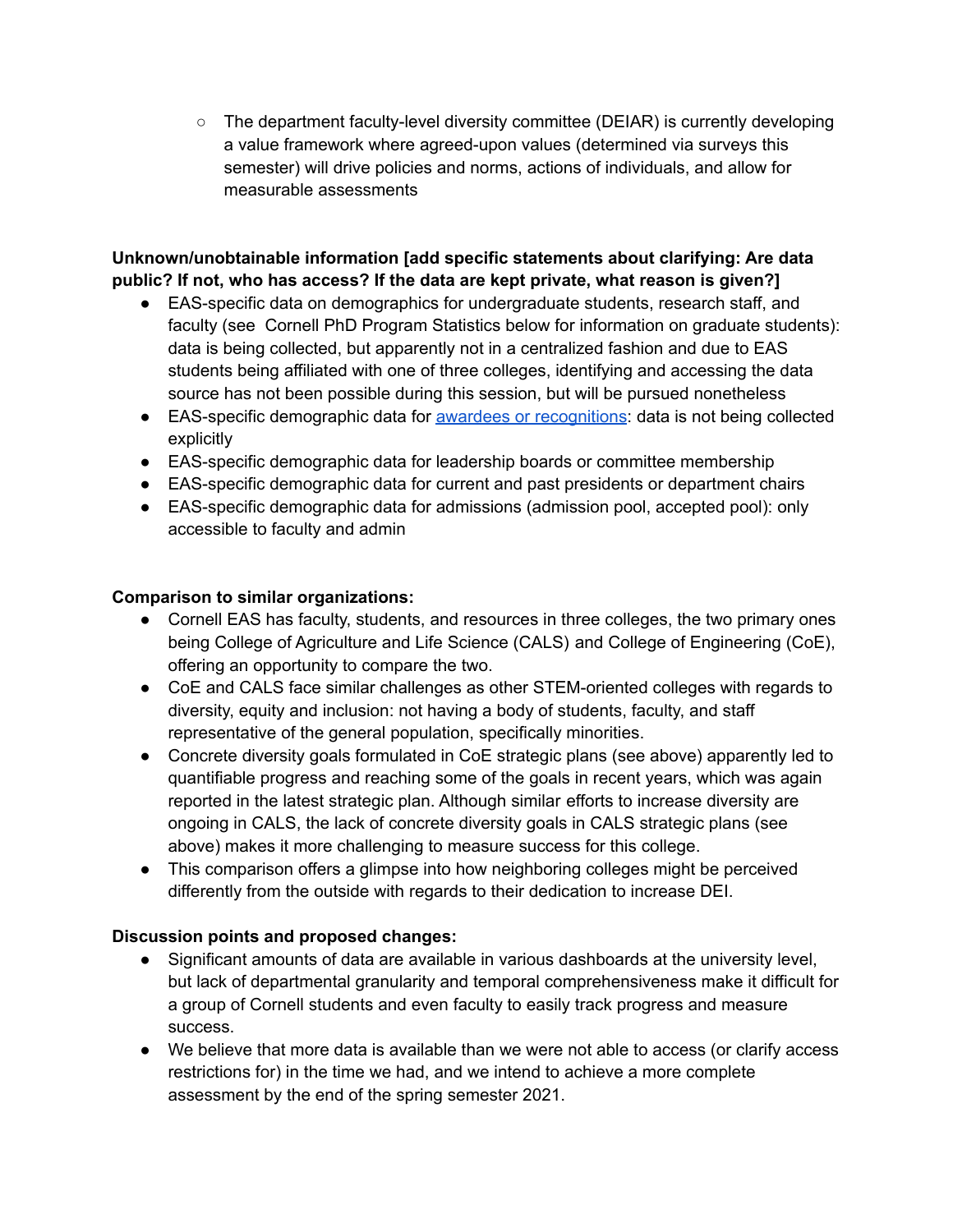○ The department faculty-level diversity committee (DEIAR) is currently developing a value framework where agreed-upon values (determined via surveys this semester) will drive policies and norms, actions of individuals, and allow for measurable assessments

### **Unknown/unobtainable information [add specific statements about clarifying: Are data public? If not, who has access? If the data are kept private, what reason is given?]**

- EAS-specific data on demographics for undergraduate students, research staff, and faculty (see Cornell PhD Program Statistics below for information on graduate students): data is being collected, but apparently not in a centralized fashion and due to EAS students being affiliated with one of three colleges, identifying and accessing the data source has not been possible during this session, but will be pursued nonetheless
- EAS-specific demographic data for awardees or [recognitions](https://www.eas.cornell.edu/news/2020-eas-student-awards): data is not being collected explicitly
- EAS-specific demographic data for leadership boards or committee membership
- EAS-specific demographic data for current and past presidents or department chairs
- EAS-specific demographic data for admissions (admission pool, accepted pool): only accessible to faculty and admin

### **Comparison to similar organizations:**

- Cornell EAS has faculty, students, and resources in three colleges, the two primary ones being College of Agriculture and Life Science (CALS) and College of Engineering (CoE), offering an opportunity to compare the two.
- CoE and CALS face similar challenges as other STEM-oriented colleges with regards to diversity, equity and inclusion: not having a body of students, faculty, and staff representative of the general population, specifically minorities.
- Concrete diversity goals formulated in CoE strategic plans (see above) apparently led to quantifiable progress and reaching some of the goals in recent years, which was again reported in the latest strategic plan. Although similar efforts to increase diversity are ongoing in CALS, the lack of concrete diversity goals in CALS strategic plans (see above) makes it more challenging to measure success for this college.
- This comparison offers a glimpse into how neighboring colleges might be perceived differently from the outside with regards to their dedication to increase DEI.

# **Discussion points and proposed changes:**

- Significant amounts of data are available in various dashboards at the university level, but lack of departmental granularity and temporal comprehensiveness make it difficult for a group of Cornell students and even faculty to easily track progress and measure success.
- We believe that more data is available than we were not able to access (or clarify access restrictions for) in the time we had, and we intend to achieve a more complete assessment by the end of the spring semester 2021.